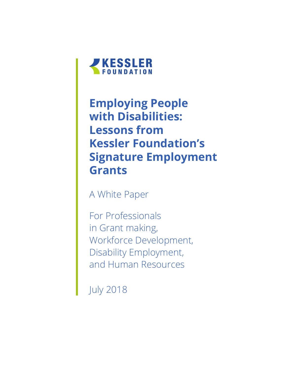

## **Employing People with Disabilities: Lessons from Kessler Foundation's Signature Employment Grants**

A White Paper

For Professionals in Grant making, Workforce Development, Disability Employment, and Human Resources

July 2018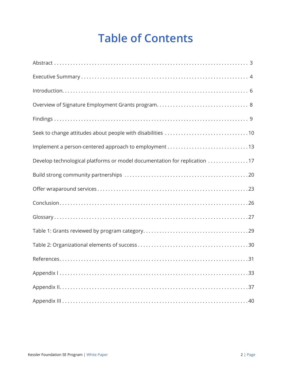## **Table of Contents**

| Implement a person-centered approach to employment 13                     |
|---------------------------------------------------------------------------|
| Develop technological platforms or model documentation for replication 17 |
|                                                                           |
|                                                                           |
|                                                                           |
|                                                                           |
|                                                                           |
|                                                                           |
|                                                                           |
|                                                                           |
|                                                                           |
|                                                                           |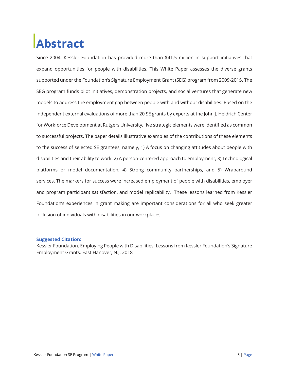## **Abstract**

Since 2004, Kessler Foundation has provided more than \$41.5 million in support initiatives that expand opportunities for people with disabilities. This White Paper assesses the diverse grants supported under the Foundation's Signature Employment Grant (SEG) program from 2009-2015. The SEG program funds pilot initiatives, demonstration projects, and social ventures that generate new models to address the employment gap between people with and without disabilities. Based on the independent external evaluations of more than 20 SE grants by experts at the John J. Heldrich Center for Workforce Development at Rutgers University, five strategic elements were identified as common to successful projects. The paper details illustrative examples of the contributions of these elements to the success of selected SE grantees, namely, 1) A focus on changing attitudes about people with disabilities and their ability to work, 2) A person-centered approach to employment, 3) Technological platforms or model documentation, 4) Strong community partnerships, and 5) Wraparound services. The markers for success were increased employment of people with disabilities, employer and program participant satisfaction, and model replicability. These lessons learned from Kessler Foundation's experiences in grant making are important considerations for all who seek greater inclusion of individuals with disabilities in our workplaces.

#### **Suggested Citation:**

Kessler Foundation. Employing People with Disabilities: Lessons from Kessler Foundation's Signature Employment Grants. East Hanover, N.J. 2018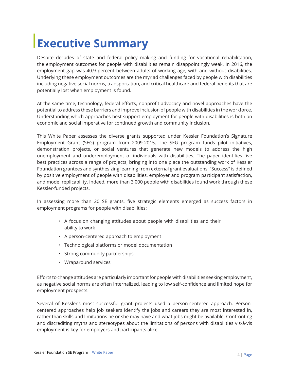## **Executive Summary**

Despite decades of state and federal policy making and funding for vocational rehabilitation, the employment outcomes for people with disabilities remain disappointingly weak. In 2016, the employment gap was 40.9 percent between adults of working age, with and without disabilities. Underlying these employment outcomes are the myriad challenges faced by people with disabilities including negative social norms, transportation, and critical healthcare and federal benefits that are potentially lost when employment is found.

At the same time, technology, federal efforts, nonprofit advocacy and novel approaches have the potential to address these barriers and improve inclusion of people with disabilities in the workforce. Understanding which approaches best support employment for people with disabilities is both an economic and social imperative for continued growth and community inclusion.

This White Paper assesses the diverse grants supported under Kessler Foundation's Signature Employment Grant (SEG) program from 2009-2015. The SEG program funds pilot initiatives, demonstration projects, or social ventures that generate new models to address the high unemployment and underemployment of individuals with disabilities. The paper identifies five best practices across a range of projects, bringing into one place the outstanding work of Kessler Foundation grantees and synthesizing learning from external grant evaluations. "Success" is defined by positive employment of people with disabilities, employer and program participant satisfaction, and model replicability. Indeed, more than 3,000 people with disabilities found work through these Kessler-funded projects.

In assessing more than 20 SE grants, five strategic elements emerged as success factors in employment programs for people with disabilities:

- A focus on changing attitudes about people with disabilities and their ability to work
- A person-centered approach to employment
- Technological platforms or model documentation
- Strong community partnerships
- Wraparound services

Efforts to change attitudes are particularly important for people with disabilities seeking employment, as negative social norms are often internalized, leading to low self-confidence and limited hope for employment prospects.

Several of Kessler's most successful grant projects used a person-centered approach. Personcentered approaches help job seekers identify the jobs and careers they are most interested in, rather than skills and limitations he or she may have and what jobs might be available. Confronting and discrediting myths and stereotypes about the limitations of persons with disabilities vis-à-vis employment is key for employers and participants alike.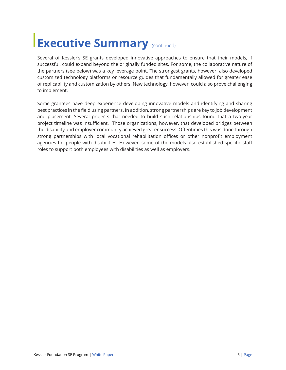## **Executive Summary (CONTING)**

Several of Kessler's SE grants developed innovative approaches to ensure that their models, if successful, could expand beyond the originally funded sites. For some, the collaborative nature of the partners (see below) was a key leverage point. The strongest grants, however, also developed customized technology platforms or resource guides that fundamentally allowed for greater ease of replicability and customization by others. New technology, however, could also prove challenging to implement.

Some grantees have deep experience developing innovative models and identifying and sharing best practices in the field using partners. In addition, strong partnerships are key to job development and placement. Several projects that needed to build such relationships found that a two-year project timeline was insufficient. Those organizations, however, that developed bridges between the disability and employer community achieved greater success. Oftentimes this was done through strong partnerships with local vocational rehabilitation offices or other nonprofit employment agencies for people with disabilities. However, some of the models also established specific staff roles to support both employees with disabilities as well as employers.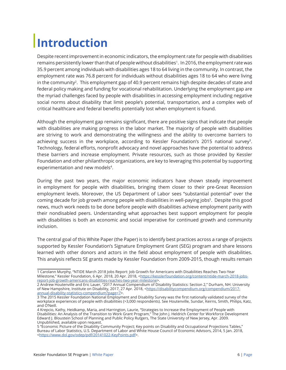## **Introduction**

Despite recent improvement in economic indicators, the employment rate for people with disabilities remains persistently lower than that of people without disabilities<sup>1</sup>. In 2016, the employment rate was 35.9 percent among individuals with disabilities ages 18 to 64 living in the community. In contrast, the employment rate was 76.8 percent for individuals without disabilities ages 18 to 64 who were living in the community<sup>2</sup>. This employment gap of 40.9 percent remains high despite decades of state and federal policy making and funding for vocational rehabilitation. Underlying the employment gap are the myriad challenges faced by people with disabilities in accessing employment including negative social norms about disability that limit people's potential, transportation, and a complex web of critical healthcare and federal benefits potentially lost when employment is found.

Although the employment gap remains significant, there are positive signs that indicate that people with disabilities are making progress in the labor market. The majority of people with disabilities are striving to work and demonstrating the willingness and the ability to overcome barriers to achieving success in the workplace, according to Kessler Foundation's 2015 national survey3. Technology, federal efforts, nonprofit advocacy and novel approaches have the potential to address these barriers and increase employment. Private resources, such as those provided by Kessler Foundation and other philanthropic organizations, are key to leveraging this potential by supporting experimentation and new models<sup>4</sup>.

During the past two years, the major economic indicators have shown steady improvement in employment for people with disabilities, bringing them closer to their pre-Great Recession employment levels. Moreover, the US Department of Labor sees "substantial potential" over the coming decade for job growth among people with disabilities in well-paying jobs<sup>5</sup>. Despite this good news, much work needs to be done before people with disabilities achieve employment parity with their nondisabled peers. Understanding what approaches best support employment for people with disabilities is both an economic and social imperative for continued growth and community inclusion.

The central goal of this White Paper (the Paper) is to identify best practices across a range of projects supported by Kessler Foundation's Signature Employment Grant (SEG) program and share lessons learned with other donors and actors in the field about employment of people with disabilities. This analysis reflects SE grants made by Kessler Foundation from 2009-2015, though results remain

<sup>1</sup> Carolann Murphy, "NTIDE March 2018 Jobs Report: Job Growth for Americans with Disabilities Reaches Two-Year Milestone," Kessler Foundation, 6 Apr. 2018, 20 Apr. 2018, <https://kesslerfoundation.org/content/ntide-march-2018-jobsreport-job-growth-americans-disabilities-reaches-two-year-milestone>.

<sup>2</sup> Andrew Houtenville and Eric Lauer, "2017 Annual Compendium of Disability Statistics: Section 2," Durham, NH: University of New Hampshire, Institute on Disability, 2017, 27 Apr. 2018, <https://disabilitycompendium.org/compendium/2017annual-disability-statistics-compendium?page=7>.

<sup>3</sup> The 2015 Kessler Foundation National Employment and Disability Survey was the first nationally validated survey of the workplace experiences of people with disabilities (>3,000 respondents). See Houtenville, Sundar, Keirns, Smith, Philips, Katz, and O'Neill.

<sup>4</sup> Krepcio, Kathy, Heidkamp, Maria, and Harrington, Laurie, "Strategies to Increase the Employment of People with Disabilities: An Analysis of the Transition to Work Grant Program," The John J. Heldrich Center for Workforce Development Edward J. Bloustein School of Planning and Public Policy Rutgers, The State University of New Jersey, Apr. 2009. Unpublished, available upon request.

<sup>5 &</sup>quot;Economic Picture of the Disability Community Project; Key points on Disability and Occupational Projections Tables," Bureau of Labor Statistics, U.S. Department of Labor and White House Council of Economic Advisors, 2014, 5 Jan. 2018, <https://www.dol.gov/odep/pdf/20141022-KeyPoints.pdf>.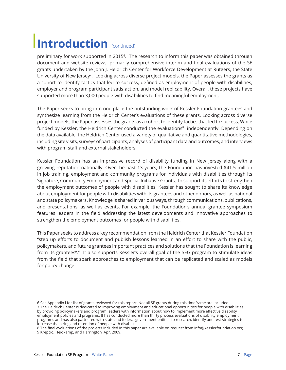## **Introduction** (continued)

preliminary for work supported in 20156. The research to inform this paper was obtained through document and website reviews, primarily comprehensive interim and final evaluations of the SE grants undertaken by the John J. Heldrich Center for Workforce Development at Rutgers, the State University of New Jersey<sup>7</sup>. Looking across diverse project models, the Paper assesses the grants as a cohort to identify tactics that led to success, defined as employment of people with disabilities, employer and program participant satisfaction, and model replicability. Overall, these projects have supported more than 3,000 people with disabilities to find meaningful employment.

The Paper seeks to bring into one place the outstanding work of Kessler Foundation grantees and synthesize learning from the Heldrich Center's evaluations of these grants. Looking across diverse project models, the Paper assesses the grants as a cohort to identify tactics that led to success. While funded by Kessler, the Heldrich Center conducted the evaluations<sup>8</sup> independently. Depending on the data available, the Heldrich Center used a variety of qualitative and quantitative methodologies, including site visits, surveys of participants, analyses of participant data and outcomes, and interviews with program staff and external stakeholders.

Kessler Foundation has an impressive record of disability funding in New Jersey along with a growing reputation nationally. Over the past 13 years, the Foundation has invested \$41.5 million in job training, employment and community programs for individuals with disabilities through its Signature, Community Employment and Special Initiative Grants. To support its efforts to strengthen the employment outcomes of people with disabilities, Kessler has sought to share its knowledge about employment for people with disabilities with its grantees and other donors, as well as national and state policymakers. Knowledge is shared in various ways, through communications, publications, and presentations, as well as events. For example, the Foundation's annual grantee symposium features leaders in the field addressing the latest developments and innovative approaches to strengthen the employment outcomes for people with disabilities.

This Paper seeks to address a key recommendation from the Heldrich Center that Kessler Foundation "step up efforts to document and publish lessons learned in an effort to share with the public, policymakers, and future grantees important practices and solutions that the Foundation is learning from its grantees<sup>9</sup>." It also supports Kessler's overall goal of the SEG program to stimulate ideas from the field that spark approaches to employment that can be replicated and scaled as models for policy change.

<sup>6</sup> See Appendix l for list of grants reviewed for this report. Not all SE grants during this timeframe are included. 7 The Heldrich Center is dedicated to improving employment and educational opportunities for people with disabilities by providing policymakers and program leaders with information about how to implement more effective disability employment policies and programs. It has conducted more than thirty process evaluations of disability employment programs and has also partnered with state and federal government entities to research, identify and test strategies to increase the hiring and retention of people with disabilities.

<sup>8</sup> The final evaluations of the projects included in this paper are available on request from info@kesslerfoundation.org 9 Krepcio, Heidkamp, and Harrington, Apr. 2009.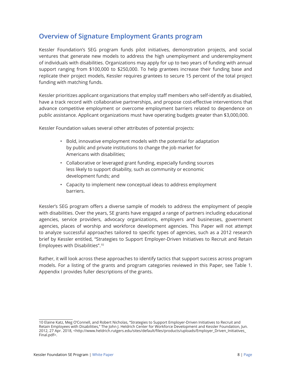## **Overview of Signature Employment Grants program**

Kessler Foundation's SEG program funds pilot initiatives, demonstration projects, and social ventures that generate new models to address the high unemployment and underemployment of individuals with disabilities. Organizations may apply for up to two years of funding with annual support ranging from \$100,000 to \$250,000. To help grantees increase their funding base and replicate their project models, Kessler requires grantees to secure 15 percent of the total project funding with matching funds.

Kessler prioritizes applicant organizations that employ staff members who self-identify as disabled, have a track record with collaborative partnerships, and propose cost-effective interventions that advance competitive employment or overcome employment barriers related to dependence on public assistance. Applicant organizations must have operating budgets greater than \$3,000,000.

Kessler Foundation values several other attributes of potential projects:

- Bold, innovative employment models with the potential for adaptation by public and private institutions to change the job market for Americans with disabilities;
- Collaborative or leveraged grant funding, especially funding sources less likely to support disability, such as community or economic development funds; and
- Capacity to implement new conceptual ideas to address employment barriers.

Kessler's SEG program offers a diverse sample of models to address the employment of people with disabilities. Over the years, SE grants have engaged a range of partners including educational agencies, service providers, advocacy organizations, employers and businesses, government agencies, places of worship and workforce development agencies. This Paper will not attempt to analyze successful approaches tailored to specific types of agencies, such as a 2012 research brief by Kessler entitled, "Strategies to Support Employer-Driven Initiatives to Recruit and Retain Employees with Disabilities". 10

Rather, it will look across these approaches to identify tactics that support success across program models. For a listing of the grants and program categories reviewed in this Paper, see Table 1. Appendix I provides fuller descriptions of the grants.

<sup>10</sup> Elaine Katz, Meg O'Connell, and Robert Nicholas, "Strategies to Support Employer-Driven Initiatives to Recruit and Retain Employees with Disabilities," The John J. Heldrich Center for Workforce Development and Kessler Foundation, Jun. 2012, 27 Apr. 2018, <http://www.heldrich.rutgers.edu/sites/default/files/products/uploads/Employer\_Driven\_Initiatives\_ Final.pdf>.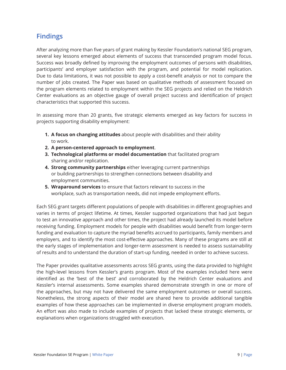## **Findings**

After analyzing more than five years of grant making by Kessler Foundation's national SEG program, several key lessons emerged about elements of success that transcended program model focus. Success was broadly defined by improving the employment outcomes of persons with disabilities, participants' and employer satisfaction with the program, and potential for model replication. Due to data limitations, it was not possible to apply a cost-benefit analysis or not to compare the number of jobs created. The Paper was based on qualitative methods of assessment focused on the program elements related to employment within the SEG projects and relied on the Heldrich Center evaluations as an objective gauge of overall project success and identification of project characteristics that supported this success.

In assessing more than 20 grants, five strategic elements emerged as key factors for success in projects supporting disability employment:

- **1. A focus on changing attitudes** about people with disabilities and their ability to work.
- **2. A person-centered approach to employment**.
- **3. Technological platforms or model documentation** that facilitated program sharing and/or replication.
- **4. Strong community partnerships** either leveraging current partnerships or building partnerships to strengthen connections between disability and employment communities.
- **5. Wraparound services** to ensure that factors relevant to success in the workplace, such as transportation needs, did not impede employment efforts.

Each SEG grant targets different populations of people with disabilities in different geographies and varies in terms of project lifetime. At times, Kessler supported organizations that had just begun to test an innovative approach and other times, the project had already launched its model before receiving funding. Employment models for people with disabilities would benefit from longer-term funding and evaluation to capture the myriad benefits accrued to participants, family members and employers, and to identify the most cost-effective approaches. Many of these programs are still at the early stages of implementation and longer-term assessment is needed to assess sustainability of results and to understand the duration of start-up funding, needed in order to achieve success.

The Paper provides qualitative assessments across SEG grants, using the data provided to highlight the high-level lessons from Kessler's grants program. Most of the examples included here were identified as the 'best of the best' and corroborated by the Heldrich Center evaluations and Kessler's internal assessments. Some examples shared demonstrate strength in one or more of the approaches, but may not have delivered the same employment outcomes or overall success. Nonetheless, the strong aspects of their model are shared here to provide additional tangible examples of how these approaches can be implemented in diverse employment program models. An effort was also made to include examples of projects that lacked these strategic elements, or explanations when organizations struggled with execution.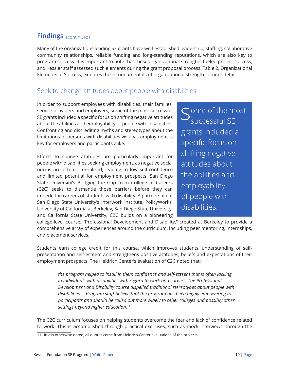## **Findings** (continued)

Many of the organizations leading SE grants have well-established leadership, staffing, collaborative community relationships, reliable funding and long-standing reputations, which are also key to program success. It is important to note that these organizational strengths fueled project success, and Kessler staff assessed such elements during the grant proposal process. Table 2, Organizational Elements of Success, explores these fundamentals of organizational strength in more detail.

## Seek to change attitudes about people with disabilities

In order to support employees with disabilities, their families, service providers and employers, some of the most successful SE grants included a specific focus on shifting negative attitudes about the abilities and employability of people with disabilities. Confronting and discrediting myths and stereotypes about the limitations of persons with disabilities vis-à-vis employment is key for employers and participants alike.

Efforts to change attitudes are particularly important for people with disabilities seeking employment, as negative social norms are often internalized, leading to low self-confidence and limited potential for employment prospects. San Diego State University's Bridging the Gap from College to Careers (C2C) seeks to dismantle those barriers before they can impede the careers of students with disability. A partnership of San Diego State University's Interwork Institute, PolicyWorks, University of California at Berkeley, San Diego State University, and California State University, C2C builds on a pioneering

**S**ome of the most Successful SE grants included a specific focus on shifting negative attitudes about the abilities and employability of people with disabilities.

college-level course, "Professional Development and Disability," created at Berkeley to provide a comprehensive array of experiences around the curriculum, including peer mentoring, internships, and placement services.

Students earn college credit for this course, which improves students' understanding of selfpresentation and self-esteem and strengthens positive attitudes, beliefs and expectations of their employment prospects. The Heldrich Center's evaluation of C2C noted that:

*the program helped to instill in them confidence and self-esteem that is often lacking in individuals with disabilities with regard to work and careers. The Professional Development and Disability course dispelled traditional stereotypes about people with disabilities…. Program staff believe that the program has been highly empowering to participants and should be rolled out more widely to other colleges and possibly other settings beyond higher education.<sup>11</sup>*

The C2C curriculum focuses on helping students overcome the fear and lack of confidence related to work. This is accomplished through practical exercises, such as mock interviews, through the

<sup>11</sup> Unless otherwise noted, all quotes come from Heldrich Center evaluations of the projects.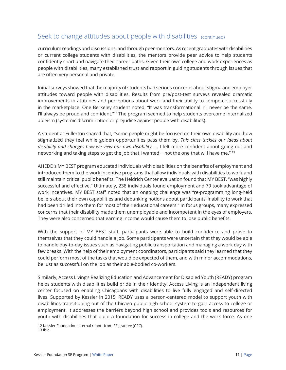## Seek to change attitudes about people with disabilities (continued)

curriculum readings and discussions, and through peer mentors. As recent graduates with disabilities or current college students with disabilities, the mentors provide peer advice to help students confidently chart and navigate their career paths. Given their own college and work experiences as people with disabilities, many established trust and rapport in guiding students through issues that are often very personal and private.

Initial surveys showed that the majority of students had serious concerns about stigma and employer attitudes toward people with disabilities. Results from pre/post-test surveys revealed dramatic improvements in attitudes and perceptions about work and their ability to compete successfully in the marketplace. One Berkeley student noted, "It was transformational. I'll never be the same. I'll always be proud and confident."12 The program seemed to help students overcome internalized ableism (systemic discrimination or prejudice against people with disabilities).

A student at Fullerton shared that, "Some people might be focused on their own disability and how stigmatized they feel while golden opportunities pass them by. *This class tackles our ideas about disability and changes how we view our own disability* …. I felt more confident about going out and networking and taking steps to get the job that I wanted − not the one that will have me." <sup>13</sup>

AHEDD's MY BEST program educated individuals with disabilities on the benefits of employment and introduced them to the work incentive programs that allow individuals with disabilities to work and still maintain critical public benefits. The Heldrich Center evaluation found that MY BEST, "was highly successful and effective." Ultimately, 238 individuals found employment and 79 took advantage of work incentives. MY BEST staff noted that an ongoing challenge was "re-programming long-held beliefs about their own capabilities and debunking notions about participants' inability to work that had been drilled into them for most of their educational careers." In focus groups, many expressed concerns that their disability made them unemployable and incompetent in the eyes of employers. They were also concerned that earning income would cause them to lose public benefits.

With the support of MY BEST staff, participants were able to build confidence and prove to themselves that they could handle a job. Some participants were uncertain that they would be able to handle day-to-day issues such as navigating public transportation and managing a work day with few breaks. With the help of their employment coordinators, participants said they learned that they could perform most of the tasks that would be expected of them, and with minor accommodations, be just as successful on the job as their able-bodied co-workers.

Similarly, Access Living's Realizing Education and Advancement for Disabled Youth (READY) program helps students with disabilities build pride in their identity. Access Living is an independent living center focused on enabling Chicagoans with disabilities to live fully engaged and self-directed lives. Supported by Kessler in 2015, READY uses a person-centered model to support youth with disabilities transitioning out of the Chicago public high school system to gain access to college or employment. It addresses the barriers beyond high school and provides tools and resources for youth with disabilities that build a foundation for success in college and the work force. As one

<sup>12</sup> Kessler Foundation internal report from SE grantee (C2C).

<sup>13</sup> Ibid.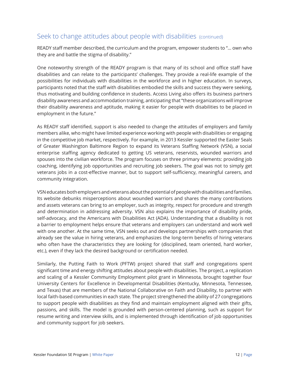## Seek to change attitudes about people with disabilities (continued)

READY staff member described, the curriculum and the program, empower students to "… own who they are and battle the stigma of disability."

One noteworthy strength of the READY program is that many of its school and office staff have disabilities and can relate to the participants' challenges. They provide a real-life example of the possibilities for individuals with disabilities in the workforce and in higher education. In surveys, participants noted that the staff with disabilities embodied the skills and success they were seeking, thus motivating and building confidence in students. Access Living also offers its business partners disability awareness and accommodation training, anticipating that "these organizations will improve their disability awareness and aptitude, making it easier for people with disabilities to be placed in employment in the future."

As READY staff identified, support is also needed to change the attitudes of employers and family members alike, who might have limited experience working with people with disabilities or engaging in the competitive job market, respectively. For example, in 2013 Kessler supported the Easter Seals of Greater Washington Baltimore Region to expand its Veterans Staffing Network (VSN), a social enterprise staffing agency dedicated to getting US veterans, reservists, wounded warriors and spouses into the civilian workforce. The program focuses on three primary elements: providing job coaching, identifying job opportunities and recruiting job seekers. The goal was not to simply get veterans jobs in a cost-effective manner, but to support self-sufficiency, meaningful careers, and community integration.

VSN educates both employers and veterans about the potential of people with disabilities and families. Its website debunks misperceptions about wounded warriors and shares the many contributions and assets veterans can bring to an employer, such as integrity, respect for procedure and strength and determination in addressing adversity. VSN also explains the importance of disability pride, self-advocacy, and the Americans with Disabilities Act (ADA). Understanding that a disability is not a barrier to employment helps ensure that veterans and employers can understand and work well with one another. At the same time, VSN seeks out and develops partnerships with companies that already see the value in hiring veterans, and emphasizes the long-term benefits of hiring veterans who often have the characteristics they are looking for (disciplined, team oriented, hard worker, etc.), even if they lack the desired background or certification needed.

Similarly, the Putting Faith to Work (PFTW) project shared that staff and congregations spent significant time and energy shifting attitudes about people with disabilities. The project, a replication and scaling of a Kessler Community Employment pilot grant in Minnesota, brought together four University Centers for Excellence in Developmental Disabilities (Kentucky, Minnesota, Tennessee, and Texas) that are members of the National Collaborative on Faith and Disability, to partner with local faith-based communities in each state. The project strengthened the ability of 27 congregations to support people with disabilities as they find and maintain employment aligned with their gifts, passions, and skills. The model is grounded with person-centered planning, such as support for resume writing and interview skills, and is implemented through identification of job opportunities and community support for job seekers.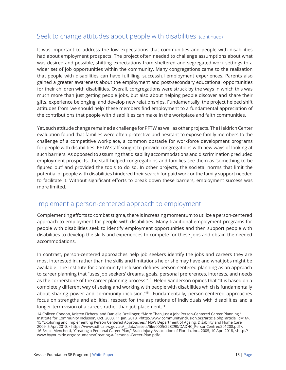### Seek to change attitudes about people with disabilities (continued)

It was important to address the low expectations that communities and people with disabilities had about employment prospects. The project often needed to challenge assumptions about what was desired and possible, shifting expectations from sheltered and segregated work settings to a wider set of job opportunities within the community. Many congregations came to the realization that people with disabilities can have fulfilling, successful employment experiences. Parents also gained a greater awareness about the employment and post-secondary educational opportunities for their children with disabilities. Overall, congregations were struck by the ways in which this was much more than just getting people jobs, but also about helping people discover and share their gifts, experience belonging, and develop new relationships. Fundamentally, the project helped shift attitudes from 'we should help' these members find employment to a fundamental appreciation of the contributions that people with disabilities can make in the workplace and faith communities.

Yet, such attitude change remained a challenge for PFTW as well as other projects. The Heldrich Center evaluation found that families were often protective and hesitant to expose family members to the challenge of a competitive workplace, a common obstacle for workforce development programs for people with disabilities. PFTW staff sought to provide congregations with new ways of looking at such barriers. As opposed to assuming that disability accommodations and discrimination precluded employment prospects, the staff helped congregations and families see them as 'something to be figured out' and provided the tools to do so. In other projects, the societal norms that limit the potential of people with disabilities hindered their search for paid work or the family support needed to facilitate it. Without significant efforts to break down these barriers, employment success was more limited.

### Implement a person-centered approach to employment

Complementing efforts to combat stigma, there is increasing momentum to utilize a person-centered approach to employment for people with disabilities. Many traditional employment programs for people with disabilities seek to identify employment opportunities and then support people with disabilities to develop the skills and experiences to compete for these jobs and obtain the needed accommodations.

In contrast, person-centered approaches help job seekers identify the jobs and careers they are most interested in, rather than the skills and limitations he or she may have and what jobs might be available. The Institute for Community Inclusion defines person-centered planning as an approach to career planning that "uses job seekers' dreams, goals, personal preferences, interests, and needs as the cornerstone of the career planning process."<sup>14</sup> Helen Sanderson opines that "It is based on a completely different way of seeing and working with people with disabilities which is fundamentally about sharing power and community inclusion."<sup>15</sup> Fundamentally, person-centered approaches focus on strengths and abilities, respect for the aspirations of individuals with disabilities and a longer-term vision of a career, rather than job placement. 16

<sup>14</sup> Colleen Condon, Kristen Fichera, and Danielle Dreilinger, "More Than Just a Job: Person-Centered Career Planning," Institute for Community Inclusion, Oct. 2003, 11 Jan. 2018, <http://www.communityinclusion.org/article.php?article\_id=16>. 15 "Exploring and Implementing Person Centered Approaches," NSW Department of Ageing, Disability and Home Care, 2009, 5 Apr. 2018, <https://www.adhc.nsw.gov.au/\_\_data/assets/file/0005/228290/DADHC\_PersonCentred201208.pdf>. 16 Bruce Menchetti, "Creating a Personal Career Plan," Brain Injury Association of Florida, Inc., 2005, 10 Apr. 2018, <http:// www.byyourside.org/documents/Creating-a-Personal-Career-Plan.pdf>.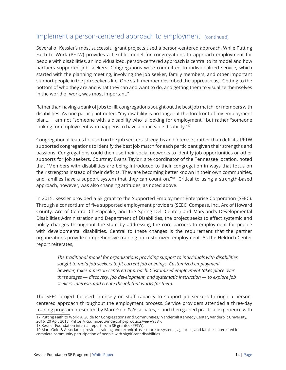### Implement a person-centered approach to employment (continued)

Several of Kessler's most successful grant projects used a person-centered approach. While Putting Faith to Work (PFTW) provides a flexible model for congregations to approach employment for people with disabilities, an individualized, person-centered approach is central to its model and how partners supported job seekers. Congregations were committed to individualized service, which started with the planning meeting, involving the job seeker, family members, and other important support people in the job seeker's life. One staff member described the approach as, "Getting to the bottom of who they are and what they can and want to do, and getting them to visualize themselves in the world of work, was most important."

Rather than having a bank of jobs to fill, congregations sought out the best job match for members with disabilities. As one participant noted, "my disability is no longer at the forefront of my employment plan…. I am not "someone with a disability who is looking for employment," but rather "someone looking for employment who happens to have a noticeable disability."17

Congregational teams focused on the job seekers' strengths and interests, rather than deficits. PFTW supported congregations to identify the best job match for each participant given their strengths and passions. Congregations could then use their social networks to identify job opportunities or other supports for job seekers. Courtney Evans Taylor, site coordinator of the Tennessee location, noted that "Members with disabilities are being introduced to their congregation in ways that focus on their strengths instead of their deficits. They are becoming better known in their own communities, and families have a support system that they can count on."<sup>18</sup> Critical to using a strength-based approach, however, was also changing attitudes, as noted above.

In 2015, Kessler provided a SE grant to the Supported Employment Enterprise Corporation (SEEC). Through a consortium of five supported employment providers (SEEC, Compass, Inc., Arc of Howard County, Arc of Central Chesapeake, and the Spring Dell Center) and Maryland's Developmental Disabilities Administration and Department of Disabilities, the project seeks to effect systemic and policy changes throughout the state by addressing the core barriers to employment for people with developmental disabilities. Central to these changes is the requirement that the partner organizations provide comprehensive training on customized employment. As the Heldrich Center report reiterates,

*The traditional model for organizations providing support to individuals with disabilities sought to mold job seekers to fit current job openings. Customized employment, however, takes a person-centered approach. Customized employment takes place over three stages — discovery, job development, and systematic instruction — to explore job seekers' interests and create the job that works for them.*

The SEEC project focused intensely on staff capacity to support job-seekers through a personcentered approach throughout the employment process. Service providers attended a three-day training program presented by Marc Gold & Associates,<sup>19</sup> and then gained practical experience with

<sup>17</sup> Putting Faith to Work: A Guide for Congregations and Communities," Vanderbilt Kennedy Center, Vanderbilt University, 2016, 20 Apr. 2018, <https://ici.umn.edu/index.php?products/view/938>.

<sup>18</sup> Kessler Foundation internal report from SE grantee (PFTW).

<sup>19</sup> Marc Gold & Associates provides training and technical assistance to systems, agencies, and families interested in complete community participation of people with significant disabilities.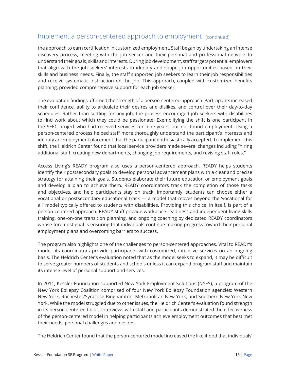### Implement a person-centered approach to employment (continued)

the approach to earn certification in customized employment. Staff began by undertaking an intense discovery process, meeting with the job seeker and their personal and professional network to understand their goals, skills and interests. During job development, staff targets potential employers that align with the job seekers' interests to identify and shape job opportunities based on their skills and business needs. Finally, the staff supported job seekers to learn their job responsibilities and receive systematic instruction on the job. This approach, coupled with customized benefits planning, provided comprehensive support for each job seeker.

The evaluation findings affirmed the strength of a person-centered approach. Participants increased their confidence, ability to articulate their desires and dislikes, and control over their day-to-day schedules. Rather than settling for any job, the process encouraged job seekers with disabilities to find work about which they could be passionate. Exemplifying the shift is one participant in the SEEC project who had received services for nine years, but not found employment. Using a person-centered process helped staff more thoroughly understand the participant's interests and identify an employment placement that the participant enthusiastically accepted. To implement this shift, the Heldrich Center found that local service providers made several changes including "hiring additional staff, creating new departments, changing job requirements, and revising staff roles."

Access Living's READY program also uses a person-centered approach. READY helps students identify their postsecondary goals to develop personal advancement plans with a clear and precise strategy for attaining their goals. Students elaborate their future education or employment goals and develop a plan to achieve them. READY coordinators track the completion of those tasks and objectives, and help participants stay on track. Importantly, students can choose either a vocational or postsecondary educational track — a model that moves beyond the 'vocational for all' model typically offered to students with disabilities. Providing this choice, in itself, is part of a person-centered approach. READY staff provide workplace readiness and independent living skills training, one-on-one transition planning, and ongoing coaching by dedicated READY coordinators whose foremost goal is ensuring that individuals continue making progress toward their personal employment plans and overcoming barriers to success.

The program also highlights one of the challenges to person-centered approaches. Vital to READY's model, its coordinators provide participants with customized, intensive services on an ongoing basis. The Heldrich Center's evaluation noted that as the model seeks to expand, it may be difficult to serve greater numbers of students and schools unless it can expand program staff and maintain its intense level of personal support and services.

In 2011, Kessler Foundation supported New York Employment Solutions (NYES), a program of the New York Epilepsy Coalition comprised of four New York Epilepsy Foundation agencies: Western New York, Rochester/Syracuse Binghamton, Metropolitan New York, and Southern New York New York. While the model struggled due to other issues, the Heldrich Center's evaluation found strength in its person-centered focus. Interviews with staff and participants demonstrated the effectiveness of the person-centered model in helping participants achieve employment outcomes that best met their needs, personal challenges and desires.

The Heldrich Center found that the person-centered model increased the likelihood that individuals'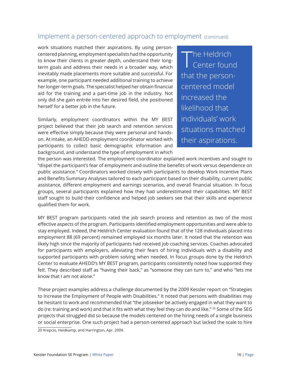### Implement a person-centered approach to employment (continued)

work situations matched their aspirations. By using personcentered planning, employment specialists had the opportunity to know their clients in greater depth, understand their longterm goals and address their needs in a broader way, which inevitably made placements more suitable and successful. For example, one participant needed additional training to achieve her longer-term goals. The specialist helped her obtain financial aid for the training and a part-time job in the industry. Not only did she gain entrée into her desired field, she positioned herself for a better job in the future.

Similarly, employment coordinators within the MY BEST project believed that their job search and retention services were effective simply because they were personal and handson. At intake, an AHEDD employment coordinator worked with participants to collect basic demographic information and background, and understand the type of employment in which

The Heldrich<br>
Center found that the personcentered model increased the likelihood that individuals' work situations matched their aspirations.

the person was interested. The employment coordinator explained work incentives and sought to "dispel the participant's fear of employment and outline the benefits of work versus dependence on public assistance." Coordinators worked closely with participants to develop Work Incentive Plans and Benefits Summary Analyses tailored to each participant based on their disability, current public assistance, different employment and earnings scenarios, and overall financial situation. In focus groups, several participants explained how they had underestimated their capabilities. MY BEST staff sought to build their confidence and helped job seekers see that their skills and experience qualified them for work.

MY BEST program participants rated the job search process and retention as two of the most effective aspects of the program. Participants identified employment opportunities and were able to stay employed. Indeed, the Heldrich Center evaluation found that of the 128 individuals placed into employment 88 (69 percent) remained employed six months later. It noted that the retention was likely high since the majority of participants had received job coaching services. Coaches advocated for participants with employers, alleviating their fears of hiring individuals with a disability and supported participants with problem solving when needed. In focus groups done by the Heldrich Center to evaluate AHEDD's MY BEST program, participants consistently noted how supported they felt. They described staff as "having their back," as "someone they can turn to," and who "lets me know that I am not alone."

These project examples address a challenge documented by the 2009 Kessler report on "Strategies to Increase the Employment of People with Disabilities." It noted that persons with disabilities may be hesitant to work and recommended that "the jobseeker be actively engaged in what they want to do (re: training and work) and that it fits with what they feel they can do and like." <sup>20</sup> Some of the SEG projects that struggled did so because the models centered on the hiring needs of a single business or social enterprise. One such project had a person-centered approach but lacked the scale to hire

20 Krepcio, Heidkamp, and Harrington, Apr. 2009.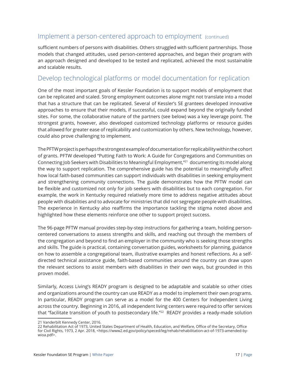### Implement a person-centered approach to employment (continued)

sufficient numbers of persons with disabilities. Others struggled with sufficient partnerships. Those models that changed attitudes, used person-centered approaches, and began their program with an approach designed and developed to be tested and replicated, achieved the most sustainable and scalable results.

### Develop technological platforms or model documentation for replication

One of the most important goals of Kessler Foundation is to support models of employment that can be replicated and scaled. Strong employment outcomes alone might not translate into a model that has a structure that can be replicated. Several of Kessler's SE grantees developed innovative approaches to ensure that their models, if successful, could expand beyond the originally funded sites. For some, the collaborative nature of the partners (see below) was a key leverage point. The strongest grants, however, also developed customized technology platforms or resource guides that allowed for greater ease of replicability and customization by others. New technology, however, could also prove challenging to implement.

The PFTW project is perhaps the strongest example of documentation for replicability within the cohort of grants. PFTW developed "Putting Faith to Work: A Guide for Congregations and Communities on Connecting Job Seekers with Disabilities to Meaningful Employment,"21 documenting its model along the way to support replication. The comprehensive guide has the potential to meaningfully affect how local faith-based communities can support individuals with disabilities in seeking employment and strengthening community connections. The guide demonstrates how the PFTW model can be flexible and customized not only for job seekers with disabilities but to each congregation. For example, the work in Kentucky required relatively more time to address negative attitudes about people with disabilities and to advocate for ministries that did not segregate people with disabilities. The experience in Kentucky also reaffirms the importance tackling the stigma noted above and highlighted how these elements reinforce one other to support project success.

The 96-page PFTW manual provides step-by-step instructions for gathering a team, holding personcentered conversations to assess strengths and skills, and reaching out through the members of the congregation and beyond to find an employer in the community who is seeking those strengths and skills. The guide is practical, containing conversation guides, worksheets for planning, guidance on how to assemble a congregational team, illustrative examples and honest reflections. As a selfdirected technical assistance guide, faith-based communities around the country can draw upon the relevant sections to assist members with disabilities in their own ways, but grounded in this proven model.

Similarly, Access Living's READY program is designed to be adaptable and scalable so other cities and organizations around the country can use READY as a model to implement their own programs. In particular, READY program can serve as a model for the 400 Centers for Independent Living across the country. Beginning in 2016, all independent living centers were required to offer services that "facilitate transition of youth to postsecondary life."<sup>22</sup> READY provides a ready-made solution

<sup>21</sup> Vanderbilt Kennedy Center, 2016.

<sup>22</sup> Rehabilitation Act of 1973, United States Department of Health, Education, and Welfare, Office of the Secretary, Office for Civil Rights, 1973, 2 Apr. 2018, <https://www2.ed.gov/policy/speced/leg/rehab/rehabilitation-act-of-1973-amended-bywioa.pdf>.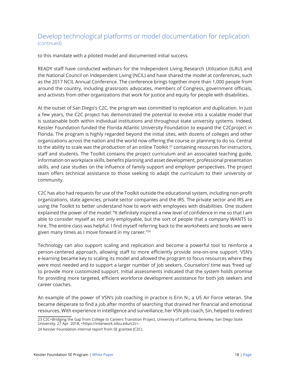### Develop technological platforms or model documentation for replication (continued)

to this mandate with a piloted model and documented initial success.

READY staff have conducted webinars for the Independent Living Research Utilization (ILRU) and the National Council on Independent Living (NCIL) and have shared the model at conferences, such as the 2017 NCIL Annual Conference. The conference brings together more than 1,000 people from around the country, including grassroots advocates, members of Congress, government officials, and activists from other organizations that work for justice and equity for people with disabilities.

At the outset of San Diego's C2C, the program was committed to replication and duplication. In just a few years, the C2C project has demonstrated the potential to evolve into a scalable model that is sustainable both within individual institutions and throughout state university systems. Indeed, Kessler Foundation funded the Florida Atlantic University Foundation to expand the C2Cproject in Florida. The program is highly regarded beyond the initial sites, with dozens of colleges and other organizations across the nation and the world now offering the course or planning to do so. Central to the ability to scale was the production of an online Toolkit<sup>23</sup> containing resources for instructors, staff and students. The Toolkit contains the project curriculum and an associated teaching guide, information on workplace skills, benefits planning and asset development, professional presentation skills, and case studies on the influence of family support and employer perspectives. The project team offers technical assistance to those seeking to adapt the curriculum to their university or community.

C2C has also had requests for use of the Toolkit outside the educational system, including non-profit organizations, state agencies, private sector companies and the IRS. The private sector and IRS are using the Toolkit to better understand how to work with employees with disabilities. One student explained the power of the model: "It definitely inspired a new level of confidence in me so that I am able to consider myself as not only employable, but the sort of people that a company WANTS to hire. The entire class was helpful. I find myself referring back to the worksheets and books we were given many times as I move forward in my career."24

Technology can also support scaling and replication and become a powerful tool to reinforce a person-centered approach, allowing staff to more efficiently provide one-on-one support. VSN's e-learning became key to scaling its model and allowed the program to focus resources where they were most needed and to support a larger number of job seekers. Counselors' time was 'freed up' to provide more customized support. Initial assessments indicated that the system holds promise for providing more targeted, efficient workforce development assistance for both job seekers and career coaches.

An example of the power of VSN's job coaching in practice is Erin N., a US Air Force veteran. She became desperate to find a job after months of searching that drained her financial and emotional resources. With experience in intelligence and surveillance, her VSN job coach, Sin, helped to redirect

23 C2C+Bridging the Gap from College to Careers Transition Project, University of California, Berkeley, San Diego State University, 27 Apr. 2018, <https://interwork.sdsu.edu/c2c>.

24 Kessler Foundation internal report from SE grantee (C2C).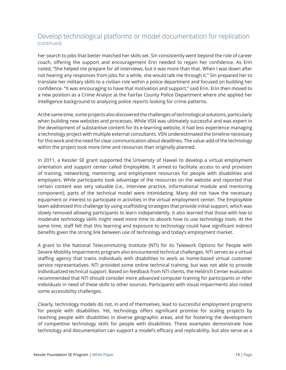### Develop technological platforms or model documentation for replication (continued)

her search to jobs that better matched her skills set. Sin consistently went beyond the role of career coach, offering the support and encouragement Erin needed to regain her confidence. As Erin noted, "She helped me prepare for all interviews, but it was more than that. When I was down after not hearing any responses from jobs for a while, she would talk me through it." Sin prepared her to translate her military skills to a civilian role within a police department and focused on building her confidence. "It was encouraging to have that motivation and support," said Erin. Erin then moved to a new position as a Crime Analyst at the Fairfax County Police Department where she applied her intelligence background to analyzing police reports looking for crime patterns.

At the same time, some projects also discovered the challenges of technological solutions, particularly when building new websites and processes. While VSN was ultimately successful and was expert in the development of substantive content for its e-learning website, it had less experience managing a technology project with multiple external consultants. VSN underestimated the timeline necessary for this work and the need for clear communication about deadlines. The value-add of the technology within the project took more time and resources than originally planned.

In 2011, a Kessler SE grant supported the University of Hawaii to develop a virtual employment orientation and support center called EmployAble. It aimed to facilitate access to and provision of training, networking, mentoring, and employment resources for people with disabilities and employers. While participants took advantage of the resources on the website and reported that certain content was very valuable (i.e., interview practice, informational module and mentoring component), parts of the technical model were intimidating. Many did not have the necessary equipment or interest to participate in activities in the virtual employment center. The EmployAble team addressed this challenge by using scaffolding strategies that provide initial support, which was slowly removed allowing participants to learn independently. It also learned that those with low to moderate technology skills might need more time to absorb how to use technology tools. At the same time, staff felt that this learning and exposure to technology could have significant indirect benefits given the strong link between use of technology and today's employment market.

A grant to the National Telecommuting Institute (NTI) for its Telework Options for People with Severe Mobility Impairments program also encountered technical challenges. NTI serves as a virtual staffing agency that trains individuals with disabilities to work as home-based virtual customer service representatives. NTI provided some online technical training, but was not able to provide individualized technical support. Based on feedback from NTI clients, the Heldrich Center evaluation recommended that NTI should consider more advanced computer training for participants or refer individuals in need of these skills to other sources. Participants with visual impairments also noted some accessibility challenges.

Clearly, technology models do not, in and of themselves, lead to successful employment programs for people with disabilities. Yet, technology offers significant promise for scaling projects by reaching people with disabilities in diverse geographic areas, and for fostering the development of competitive technology skills for people with disabilities. These examples demonstrate how technology and documentation can support a model's efficacy and replicability, but also serve as a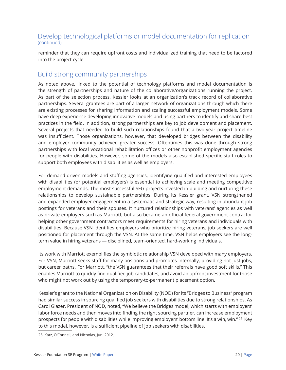### Develop technological platforms or model documentation for replication (continued)

reminder that they can require upfront costs and individualized training that need to be factored into the project cycle.

### Build strong community partnerships

As noted above, linked to the potential of technology platforms and model documentation is the strength of partnerships and nature of the collaborative/organizations running the project. As part of the selection process, Kessler looks at an organization's track record of collaborative partnerships. Several grantees are part of a larger network of organizations through which there are existing processes for sharing information and scaling successful employment models. Some have deep experience developing innovative models and using partners to identify and share best practices in the field. In addition, strong partnerships are key to job development and placement. Several projects that needed to build such relationships found that a two-year project timeline was insufficient. Those organizations, however, that developed bridges between the disability and employer community achieved greater success. Oftentimes this was done through strong partnerships with local vocational rehabilitation offices or other nonprofit employment agencies for people with disabilities. However, some of the models also established specific staff roles to support both employees with disabilities as well as employers.

For demand-driven models and staffing agencies, identifying qualified and interested employees with disabilities (or potential employers) is essential to achieving scale and meeting competitive employment demands. The most successful SEG projects invested in building and nurturing these relationships to develop sustainable partnerships. During its Kessler grant, VSN strengthened and expanded employer engagement in a systematic and strategic way, resulting in abundant job postings for veterans and their spouses. It nurtured relationships with veterans' agencies as well as private employers such as Marriott, but also became an official federal government contractor helping other government contractors meet requirements for hiring veterans and individuals with disabilities. Because VSN identifies employers who prioritize hiring veterans, job seekers are well positioned for placement through the VSN. At the same time, VSN helps employers see the longterm value in hiring veterans — disciplined, team-oriented, hard-working individuals.

Its work with Marriott exemplifies the symbiotic relationship VSN developed with many employers. For VSN, Marriott seeks staff for many positions and promotes internally, providing not just jobs, but career paths. For Marriott, "the VSN guarantees that their referrals have good soft skills." This enables Marriott to quickly find qualified job candidates, and avoid an upfront investment for those who might not work out by using the temporary-to-permanent placement option.

Kessler's grant to the National Organization on Disability (NOD) for its "Bridges to Business" program had similar success in sourcing qualified job seekers with disabilities due to strong relationships. As Carol Glazer, President of NOD, noted, "We believe the Bridges model, which starts with employers' labor force needs and then moves into finding the right sourcing partner, can increase employment prospects for people with disabilities while improving employers' bottom line. It's a win, win." 25 Key to this model, however, is a sufficient pipeline of job seekers with disabilities.

<sup>25</sup> Katz, O'Connell, and Nicholas, Jun. 2012.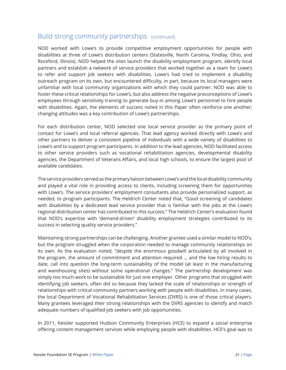### Build strong community partnerships (continued)

NOD worked with Lowe's to provide competitive employment opportunities for people with disabilities at three of Lowe's distribution centers (Statesville, North Carolina, Findlay, Ohio, and Rockford, Illinois). NOD helped the sites launch the disability employment program, identify local partners and establish a network of service providers that worked together as a team for Lowe's to refer and support job seekers with disabilities. Lowe's had tried to implement a disability outreach program on its own, but encountered difficulty, in part, because its local managers were unfamiliar with local community organizations with which they could partner. NOD was able to foster these critical relationships for Lowe's, but also address the negative preconceptions of Lowe's employees through sensitivity training to generate buy-in among Lowe's personnel to hire people with disabilities. Again, the elements of success noted in this Paper often reinforce one another; changing attitudes was a key contribution of Lowe's partnerships.

For each distribution center, NOD selected one local service provider as the primary point of contact for Lowe's and local referral agencies. That lead agency worked directly with Lowe's and other partners to deliver a consistent pipeline of individuals with a wide variety of disabilities to Lowe's and to support program participants. In addition to the lead agencies, NOD facilitated access to other service providers such as vocational rehabilitation agencies, developmental disability agencies, the Department of Veterans Affairs, and local high schools, to ensure the largest pool of available candidates.

The service providers served as the primary liaison between Lowe's and the local disability community and played a vital role in providing access to clients, including screening them for opportunities with Lowe's. The service providers' employment consultants also provide personalized support, as needed, to program participants. The Heldrich Center noted that, "Good screening of candidates with disabilities by a dedicated lead service provider that is familiar with the jobs at the Lowe's regional distribution center has contributed to this success." The Heldrich Center's evaluation found that NOD's expertise with 'demand-driven' disability employment strategies contributed to its success in selecting quality service providers."

Maintaining strong partnerships can be challenging. Another grantee used a similar model to NOD's, but the program struggled when the corporation needed to manage community relationships on its own. As the evaluation noted, "despite the enormous goodwill articulated by all involved in the program, the amount of commitment and attention required … and the low hiring results to date, call into question the long-term sustainability of the model (at least in the manufacturing and warehousing sites) without some operational changes." The partnership development was simply too much work to be sustainable for just one employer. Other programs that struggled with identifying job seekers, often did so because they lacked the scale of relationships or strength of relationships with critical community partners working with people with disabilities. In many cases, the local Department of Vocational Rehabilitation Services (DVRS) is one of those critical players. Many grantees leveraged their strong relationships with the DVRS agencies to identify and match adequate numbers of qualified job seekers with job opportunities.

In 2011, Kessler supported Hudson Community Enterprises (HCE) to expand a social enterprise offering content management services while employing people with disabilities. HCE's goal was to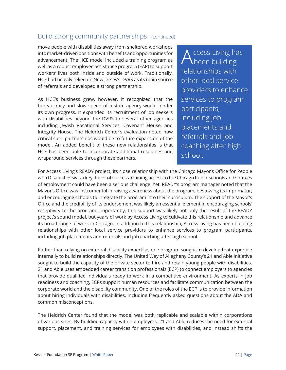### Build strong community partnerships (continued)

move people with disabilities away from sheltered workshops into market-driven positions with benefits and opportunities for advancement. The HCE model included a training program as well as a robust employee assistance program (EAP) to support workers' lives both inside and outside of work. Traditionally, HCE had heavily relied on New Jersey's DVRS as its main source of referrals and developed a strong partnership.

As HCE's business grew, however, it recognized that the bureaucracy and slow speed of a state agency would hinder its own progress. It expanded its recruitment of job seekers with disabilities beyond the DVRS to several other agencies including Jewish Vocational Services, Covenant House, and Integrity House. The Heldrich Center's evaluation noted how critical such partnerships would be to future expansion of the model. An added benefit of these new relationships is that HCE has been able to incorporate additional resources and wraparound services through these partners.

Access Living has<br>Abeen building relationships with other local service providers to enhance services to program participants, including job placements and referrals and job coaching after high school.

For Access Living's READY project, its close relationship with the Chicago Mayor's Office for People with Disabilities was a key driver of success. Gaining access to the Chicago Public schools and sources of employment could have been a serious challenge. Yet, READY's program manager noted that the Mayor's Office was instrumental in raising awareness about the program, bestowing its imprimatur, and encouraging schools to integrate the program into their curriculum. The support of the Mayor's Office and the credibility of its endorsement was likely an essential element in encouraging schools' receptivity to the program. Importantly, this support was likely not only the result of the READY project's sound model, but years of work by Access Living to cultivate this relationship and advance its broad range of work in Chicago. In addition to this relationship, Access Living has been building relationships with other local service providers to enhance services to program participants, including job placements and referrals and job coaching after high school.

Rather than relying on external disability expertise, one program sought to develop that expertise internally to build relationships directly. The United Way of Allegheny County's 21 and Able initiative sought to build the capacity of the private sector to hire and retain young people with disabilities. 21 and Able uses embedded career transition professionals (ECP) to connect employers to agencies that provide qualified individuals ready to work in a competitive environment. As experts in job readiness and coaching, ECPs support human resources and facilitate communication between the corporate world and the disability community. One of the roles of the ECP is to provide information about hiring individuals with disabilities, including frequently asked questions about the ADA and common misconceptions.

The Heldrich Center found that the model was both replicable and scalable within corporations of various sizes. By building capacity within employers, 21 and Able reduces the need for external support, placement, and training services for employees with disabilities, and instead shifts the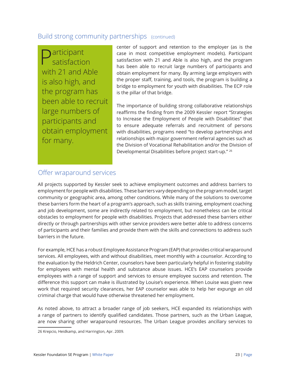### Build strong community partnerships (continued)

**D**articipant satisfaction with 21 and Able is also high, and the program has been able to recruit large numbers of participants and obtain employment for many.

center of support and retention to the employer (as is the case in most competitive employment models). Participant satisfaction with 21 and Able is also high, and the program has been able to recruit large numbers of participants and obtain employment for many. By arming large employers with the proper staff, training, and tools, the program is building a bridge to employment for youth with disabilities. The ECP role is the pillar of that bridge.

The importance of building strong collaborative relationships reaffirms the finding from the 2009 Kessler report "Strategies to Increase the Employment of People with Disabilities" that to ensure adequate referrals and recruitment of persons with disabilities, programs need "to develop partnerships and relationships with major government referral agencies such as the Division of Vocational Rehabilitation and/or the Division of Developmental Disabilities before project start-up." 26

### Offer wraparound services

All projects supported by Kessler seek to achieve employment outcomes and address barriers to employment for people with disabilities. These barriers vary depending on the program model, target community or geographic area, among other conditions. While many of the solutions to overcome these barriers form the heart of a program's approach, such as skills training, employment coaching and job development, some are indirectly related to employment, but nonetheless can be critical obstacles to employment for people with disabilities. Projects that addressed these barriers either directly or through partnerships with other service providers were better able to address concerns of participants and their families and provide them with the skills and connections to address such barriers in the future.

For example, HCE has a robust Employee Assistance Program (EAP) that provides critical wraparound services. All employees, with and without disabilities, meet monthly with a counselor. According to the evaluation by the Heldrich Center, counselors have been particularly helpful in fostering stability for employees with mental health and substance abuse issues. HCE's EAP counselors provide employees with a range of support and services to ensure employee success and retention. The difference this support can make is illustrated by Louise's experience. When Louise was given new work that required security clearances, her EAP counselor was able to help her expunge an old criminal charge that would have otherwise threatened her employment.

As noted above, to attract a broader range of job seekers, HCE expanded its relationships with a range of partners to identify qualified candidates. Those partners, such as the Urban League, are now sharing other wraparound resources. The Urban League provides ancillary services to

<sup>26</sup> Krepcio, Heidkamp, and Harrington, Apr. 2009.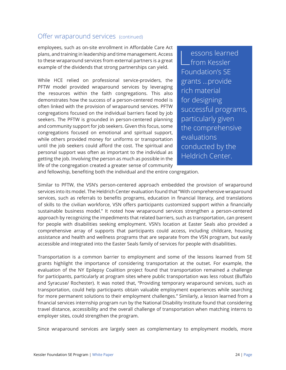### Offer wraparound services (continued)

employees, such as on-site enrollment in Affordable Care Act plans, and training in leadership and time management. Access to these wraparound services from external partners is a great example of the dividends that strong partnerships can yield.

While HCE relied on professional service-providers, the PFTW model provided wraparound services by leveraging the resources within the faith congregations. This also demonstrates how the success of a person-centered model is often linked with the provision of wraparound services. PFTW congregations focused on the individual barriers faced by job seekers. The PFTW is grounded in person-centered planning and community support for job seekers. Given this focus, some congregations focused on emotional and spiritual support, while others provided money for uniforms or transportation until the job seekers could afford the cost. The spiritual and personal support was often as important to the individual as getting the job. Involving the person as much as possible in the life of the congregation created a greater sense of community

essons learned  $L$ from Kessler Foundation's SE grants …provide rich material for designing successful programs, particularly given the comprehensive evaluations conducted by the Heldrich Center.

and fellowship, benefiting both the individual and the entire congregation.

Similar to PFTW, the VSN's person-centered approach embedded the provision of wraparound services into its model. The Heldrich Center evaluation found that "With comprehensive wraparound services, such as referrals to benefits programs, education in financial literacy, and translations of skills to the civilian workforce, VSN offers participants customized support within a financially sustainable business model." It noted how wraparound services strengthen a person-centered approach by recognizing the impediments that related barriers, such as transportation, can present for people with disabilities seeking employment. VSN's location at Easter Seals also provided a comprehensive array of supports that participants could access, including childcare, housing assistance and health and wellness programs that are separate from the VSN program, but easily accessible and integrated into the Easter Seals family of services for people with disabilities.

Transportation is a common barrier to employment and some of the lessons learned from SE grants highlight the importance of considering transportation at the outset. For example, the evaluation of the NY Epilepsy Coalition project found that transportation remained a challenge for participants, particularly at program sites where public transportation was less robust (Buffalo and Syracuse/ Rochester). It was noted that, "Providing temporary wraparound services, such as transportation, could help participants obtain valuable employment experiences while searching for more permanent solutions to their employment challenges." Similarly, a lesson learned from a financial services internship program run by the National Disability Institute found that considering travel distance, accessibility and the overall challenge of transportation when matching interns to employer sites, could strengthen the program.

Since wraparound services are largely seen as complementary to employment models, more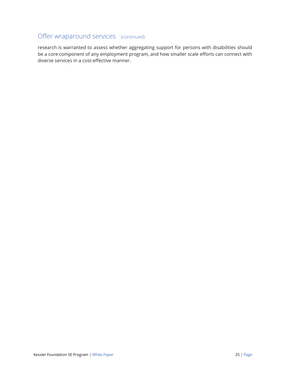## Offer wraparound services (continued)

research is warranted to assess whether aggregating support for persons with disabilities should be a core component of any employment program, and how smaller scale efforts can connect with diverse services in a cost-effective manner.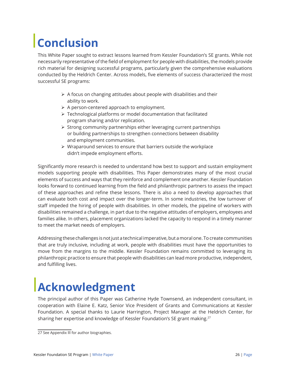## **Conclusion**

This White Paper sought to extract lessons learned from Kessler Foundation's SE grants. While not necessarily representative of the field of employment for people with disabilities, the models provide rich material for designing successful programs, particularly given the comprehensive evaluations conducted by the Heldrich Center. Across models, five elements of success characterized the most successful SE programs:

- $\triangleright$  A focus on changing attitudes about people with disabilities and their ability to work.
- $\triangleright$  A person-centered approach to employment.
- $\triangleright$  Technological platforms or model documentation that facilitated program sharing and/or replication.
- $\triangleright$  Strong community partnerships either leveraging current partnerships or building partnerships to strengthen connections between disability and employment communities.
- $\triangleright$  Wraparound services to ensure that barriers outside the workplace didn't impede employment efforts.

Significantly more research is needed to understand how best to support and sustain employment models supporting people with disabilities. This Paper demonstrates many of the most crucial elements of success and ways that they reinforce and complement one another. Kessler Foundation looks forward to continued learning from the field and philanthropic partners to assess the impact of these approaches and refine these lessons. There is also a need to develop approaches that can evaluate both cost and impact over the longer-term. In some industries, the low turnover of staff impeded the hiring of people with disabilities. In other models, the pipeline of workers with disabilities remained a challenge, in part due to the negative attitudes of employers, employees and families alike. In others, placement organizations lacked the capacity to respond in a timely manner to meet the market needs of employers.

Addressing these challenges is not just a technical imperative, but a moral one. To create communities that are truly inclusive, including at work, people with disabilities must have the opportunities to move from the margins to the middle. Kessler Foundation remains committed to leveraging its philanthropic practice to ensure that people with disabilities can lead more productive, independent, and fulfilling lives.

## **Acknowledgment**

The principal author of this Paper was Catherine Hyde Townsend, an independent consultant, in cooperation with Elaine E. Katz, Senior Vice President of Grants and Communications at Kessler Foundation. A special thanks to Laurie Harrington, Project Manager at the Heldrich Center, for sharing her expertise and knowledge of Kessler Foundation's SE grant making.<sup>27</sup>

<sup>27</sup> See Appendix III for author biographies.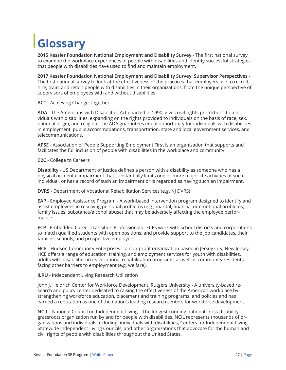# **Glossary**

**2015 Kessler Foundation National Employment and Disability Survey** - The first national survey to examine the workplace experiences of people with disabilities and identify successful strategies that people with disabilities have used to find and maintain employment.

**2017 Kessler Foundation National Employment and Disability Survey: Supervisor Perspectives** - The first national survey to look at the effectiveness of the practices that employers use to recruit, hire, train, and retain people with disabilities in their organizations, from the unique perspective of supervisors of employees with and without disabilities.

**ACT** - Achieving Change Together

**ADA** - The Americans with Disabilities Act enacted in 1990, gives civil rights protections to individuals with disabilities, expanding on the rights provided to individuals on the basis of race, sex, national origin, and religion. The ADA guarantees equal opportunity for individuals with disabilities in employment, public accommodations, transportation, state and local government services, and telecommunications.

**APSE** - Association of People Supporting Employment First is an organization that supports and facilitates the full inclusion of people with disabilities in the workplace and community.

**C2C** - College to Careers

**Disability** - US Department of Justice defines a person with a disability as someone who has a physical or mental impairment that substantially limits one or more major life activities of such individual, or has a record of such an impairment or is regarded as having such an impairment.

**DVRS** - Department of Vocational Rehabilitation Services (e.g. NJ DVRS)

**EAP** - Employee Assistance Program - A work-based intervention program designed to identify and assist employees in resolving personal problems (e.g., marital, financial or emotional problems; family issues; substance/alcohol abuse) that may be adversely affecting the employee performance.

**ECP** - Embedded Career Transition Professionals –ECPs work with school districts and corporations to match qualified students with open positions, and provide support to the job candidates, their families, schools, and prospective employers.

**HCE** - Hudson Community Enterprises – a non-profit organization based in Jersey City, New Jersey. HCE offers a range of education, training, and employment services for youth with disabilities, adults with disabilities in its vocational rehabilitation programs, as well as community residents facing other barriers to employment (e.g. welfare).

#### **ILRU** - Independent Living Research Utilization

John J. Heldrich Center for Workforce Development, Rutgers University - A university-based research and policy center dedicated to raising the effectiveness of the American workplace by strengthening workforce education, placement and training programs, and policies and has earned a reputation as one of the nation's leading research centers for workforce development.

**NCIL** - National Council on Independent Living – The longest-running national cross-disability, grassroots organization run by and for people with disabilities. NCIL represents thousands of organizations and individuals including: individuals with disabilities, Centers for Independent Living, Statewide Independent Living Councils, and other organizations that advocate for the human and civil rights of people with disabilities throughout the United States.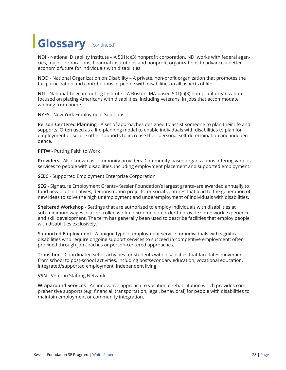## **Glossary** (continued)

**NDI** - National Disability Institute – A 501(c)(3) nonprofit corporation. NDI works with federal agencies, major corporations, financial institutions and nonprofit organizations to advance a better economic future for individuals with disabilities.

**NOD** - National Organization on Disability – A private, non-profit organization that promotes the full participation and contributions of people with disabilities in all aspects of life.

**NTI** - National Telecommuting Institute – A Boston, MA-based 501(c)(3) non-profit organization focused on placing Americans with disabilities, including veterans, in jobs that accommodate working from home.

**NYES** - New York Employment Solutions

**Person-Centered Planning** - A set of approaches designed to assist someone to plan their life and supports. Often used as a life-planning model to enable individuals with disabilities to plan for employment or secure other supports to increase their personal self-determination and independence.

**PFTW** - Putting Faith to Work

**Providers** - Also known as community providers. Community-based organizations offering various services to people with disabilities, including employment placement and supported employment.

**SEEC** - Supported Employment Enterprise Corporation

**SEG** - Signature Employment Grants–Kessler Foundation's largest grants–are awarded annually to fund new pilot initiatives, demonstration projects, or social ventures that lead to the generation of new ideas to solve the high unemployment and underemployment of individuals with disabilities.

**Sheltered Workshop** - Settings that are authorized to employ individuals with disabilities at sub-minimum wages in a controlled work environment in order to provide some work experience and skill development. The term has generally been used to describe facilities that employ people with disabilities exclusively.

**Supported Employment** - A unique type of employment service for individuals with significant disabilities who require ongoing support services to succeed in competitive employment; often provided through job coaches or person-centered approaches.

**Transition** - Coordinated set of activities for students with disabilities that facilitates movement from school to post-school activities, including postsecondary education, vocational education, integrated/supported employment, independent living

**VSN** - Veteran Staffing Network

**Wraparound Services** - An innovative approach to vocational rehabilitation which provides comprehensive supports (e.g. financial, transportation, legal, behavioral) for people with disabilities to maintain employment or community integration.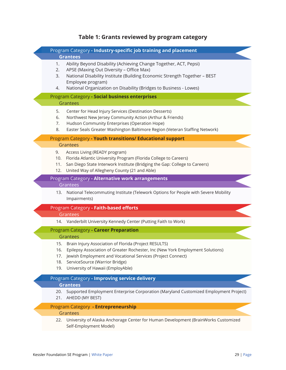## **Table 1: Grants reviewed by program category**

|                                                | Program Category - Industry-specific job training and placement                                                                                                                                                                                                               |  |
|------------------------------------------------|-------------------------------------------------------------------------------------------------------------------------------------------------------------------------------------------------------------------------------------------------------------------------------|--|
|                                                | <b>Grantees</b>                                                                                                                                                                                                                                                               |  |
| 1.<br>2.<br>3.                                 | Ability Beyond Disability (Achieving Change Together, ACT, Pepsi)<br>APSE (Maxing Out Diversity - Office Max)<br>National Disability Institute (Building Economic Strength Together - BEST                                                                                    |  |
| 4.                                             | Employee program)<br>National Organization on Disability (Bridges to Business - Lowes)                                                                                                                                                                                        |  |
| Program Category - Social business enterprises |                                                                                                                                                                                                                                                                               |  |
|                                                | Grantees                                                                                                                                                                                                                                                                      |  |
| 5.<br>6.<br>7.<br>8.                           | Center for Head Injury Services (Destination Desserts)<br>Northwest New Jersey Community Action (Arthur & Friends)<br>Hudson Community Enterprises (Operation Hope)<br>Easter Seals Greater Washington Baltimore Region (Veteran Staffing Network)                            |  |
|                                                | Program Category - Youth transitions/ Educational support                                                                                                                                                                                                                     |  |
|                                                | Grantees                                                                                                                                                                                                                                                                      |  |
| 9.<br>11.<br>12.                               | Access Living (READY program)<br>10. Florida Atlantic University Program (Florida College to Careers)<br>San Diego State Interwork Institute (Bridging the Gap: College to Careers)<br>United Way of Allegheny County (21 and Able)                                           |  |
|                                                | Program Category - Alternative work arrangements                                                                                                                                                                                                                              |  |
|                                                | Grantees                                                                                                                                                                                                                                                                      |  |
| 13.                                            | National Telecommuting Institute (Telework Options for People with Severe Mobility<br>Impairments)                                                                                                                                                                            |  |
|                                                | Program Category - Faith-based efforts<br>Grantees                                                                                                                                                                                                                            |  |
|                                                | 14. Vanderbilt University Kennedy Center (Putting Faith to Work)                                                                                                                                                                                                              |  |
|                                                | Program Category - Career Preparation                                                                                                                                                                                                                                         |  |
|                                                | Grantees                                                                                                                                                                                                                                                                      |  |
| 15.<br>16.<br>18.<br>19.                       | Brain Injury Association of Florida (Project RESULTS)<br>Epilepsy Association of Greater Rochester, Inc (New York Employment Solutions)<br>Jewish Employment and Vocational Services (Project Connect)<br>ServiceSource (Warrior Bridge)<br>University of Hawaii (EmployAble) |  |
|                                                | Program Category - Improving service delivery                                                                                                                                                                                                                                 |  |
|                                                | <b>Grantees</b>                                                                                                                                                                                                                                                               |  |
| 20.<br>21.                                     | Supported Employment Enterprise Corporation (Maryland Customized Employment Project)<br>AHEDD (MY BEST)                                                                                                                                                                       |  |
|                                                | Program Category - Entrepreneurship                                                                                                                                                                                                                                           |  |
|                                                | Grantees                                                                                                                                                                                                                                                                      |  |
| 22.                                            | University of Alaska Anchorage Center for Human Development (BrainWorks Customized<br>Self-Employment Model)                                                                                                                                                                  |  |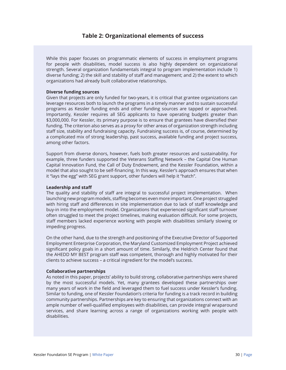### **Table 2: Organizational elements of success**

While this paper focuses on programmatic elements of success in employment programs for people with disabilities, model success is also highly dependent on organizational strength. Several organization fundamentals integral to program implementation include 1) diverse funding; 2) the skill and stability of staff and management; and 2) the extent to which organizations had already built collaborative relationships.

#### **Diverse funding sources**

Given that projects are only funded for two-years, it is critical that grantee organizations can leverage resources both to launch the programs in a timely manner and to sustain successful programs as Kessler funding ends and other funding sources are tapped or approached. Importantly, Kessler requires all SEG applicants to have operating budgets greater than \$3,000,000. For Kessler, its primary purpose is to ensure that grantees have diversified their funding. The criterion also serves as a proxy for other areas of organization strength including staff size, stability and fundraising capacity. Fundraising success is, of course, determined by a complicated mix of strong leadership, past success, available funding and project success, among other factors.

Support from diverse donors, however, fuels both greater resources and sustainability. For example, three funders supported the Veterans Staffing Network – the Capital One Human Capital Innovation Fund, the Call of Duty Endowment, and the Kessler Foundation, within a model that also sought to be self-financing. In this way, Kessler's approach ensures that when it "lays the egg" with SEG grant support, other funders will help it "hatch".

#### **Leadership and staff**

The quality and stability of staff are integral to successful project implementation. When launching new program models, staffing becomes even more important. One project struggled with hiring staff and differences in site implementation due to lack of staff knowledge and buy-in into the employment model. Organizations that experienced significant staff turnover often struggled to meet the project timelines, making evaluation difficult. For some projects, staff members lacked experience working with people with disabilities similarly slowing or impeding progress.

On the other hand, due to the strength and positioning of the Executive Director of Supported Employment Enterprise Corporation, the Maryland Customized Employment Project achieved significant policy goals in a short amount of time. Similarly, the Heldrich Center found that the AHEDD MY BEST program staff was competent, thorough and highly motivated for their clients to achieve success – a critical ingredient for the model's success.

#### **Collaborative partnerships**

As noted in this paper, projects' ability to build strong, collaborative partnerships were shared by the most successful models. Yet, many grantees developed these partnerships over many years of work in the field and leveraged them to fuel success under Kessler's funding. Similar to funding, one of Kessler Foundation's criteria for funding is a track record in building community partnerships. Partnerships are key to ensuring that organizations connect with an ample number of well-qualified employees with disabilities, can provide integral wraparound services, and share learning across a range of organizations working with people with disabilities.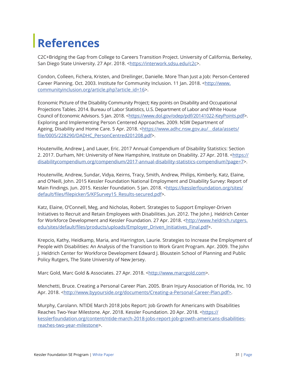## **References**

C2C+Bridging the Gap from College to Careers Transition Project. University of California, Berkeley, San Diego State University. 27 Apr. 2018. <https://interwork.sdsu.edu/c2c>.

Condon, Colleen, Fichera, Kristen, and Dreilinger, Danielle. More Than Just a Job: Person-Centered Career Planning. Oct. 2003. Institute for Community Inclusion. 11 Jan. 2018. <http://www. communityinclusion.org/article.php?article\_id=16>.

Economic Picture of the Disability Community Project; Key points on Disability and Occupational Projections Tables. 2014. Bureau of Labor Statistics, U.S. Department of Labor and White House Council of Economic Advisors. 5 Jan. 2018. <https://www.dol.gov/odep/pdf/20141022-KeyPoints.pdf>. Exploring and Implementing Person Centered Approaches. 2009. NSW Department of Ageing, Disability and Home Care. 5 Apr. 2018. <https://www.adhc.nsw.gov.au/\_\_data/assets/ file/0005/228290/DADHC\_PersonCentred201208.pdf>.

Houtenville, Andrew J, and Lauer, Eric. 2017 Annual Compendium of Disability Statistics: Section 2. 2017. Durham, NH: University of New Hampshire, Institute on Disability. 27 Apr. 2018. <https:// disabilitycompendium.org/compendium/2017-annual-disability-statistics-compendium?page=7>.

Houtenville, Andrew, Sundar, Vidya, Keirns, Tracy, Smith, Andrew, Philips, Kimberly, Katz, Elaine, and O'Neill, John. 2015 Kessler Foundation National Employment and Disability Survey: Report of Main Findings. Jun. 2015. Kessler Foundation. 5 Jan. 2018. <https://kesslerfoundation.org/sites/ default/files/filepicker/5/KFSurvey15\_Results-secured.pdf>.

Katz, Elaine, O'Connell, Meg, and Nicholas, Robert. Strategies to Support Employer-Driven Initiatives to Recruit and Retain Employees with Disabilities. Jun. 2012. The John J. Heldrich Center for Workforce Development and Kessler Foundation. 27 Apr. 2018. <http://www.heldrich.rutgers. edu/sites/default/files/products/uploads/Employer\_Driven\_Initiatives\_Final.pdf>.

Krepcio, Kathy, Heidkamp, Maria, and Harrington, Laurie. Strategies to Increase the Employment of People with Disabilities: An Analysis of the Transition to Work Grant Program. Apr. 2009. The John J. Heldrich Center for Workforce Development Edward J. Bloustein School of Planning and Public Policy Rutgers, The State University of New Jersey.

Marc Gold, Marc Gold & Associates. 27 Apr. 2018. <http://www.marcgold.com>.

Menchetti, Bruce. Creating a Personal Career Plan. 2005. Brain Injury Association of Florida, Inc. 10 Apr. 2018. <http://www.byyourside.org/documents/Creating-a-Personal-Career-Plan.pdf>.

Murphy, Carolann. NTIDE March 2018 Jobs Report: Job Growth for Americans with Disabilities Reaches Two-Year Milestone. Apr. 2018. Kessler Foundation. 20 Apr. 2018. <https:// kesslerfoundation.org/content/ntide-march-2018-jobs-report-job-growth-americans-disabilitiesreaches-two-year-milestone>.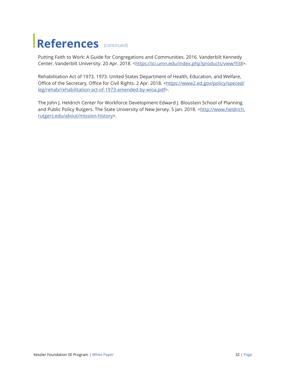## **References** (continued)

Putting Faith to Work: A Guide for Congregations and Communities. 2016. Vanderbilt Kennedy Center, Vanderbilt University. 20 Apr. 2018. <https://ici.umn.edu/index.php?products/view/938>.

Rehabilitation Act of 1973. 1973. United States Department of Health, Education, and Welfare, Office of the Secretary, Office for Civil Rights. 2 Apr. 2018. <https://www2.ed.gov/policy/speced/ leg/rehab/rehabilitation-act-of-1973-amended-by-wioa.pdf>.

The John J. Heldrich Center for Workforce Development Edward J. Bloustein School of Planning and Public Policy Rutgers. The State University of New Jersey. 5 Jan. 2018. <http://www.heldrich. rutgers.edu/about/mission-history>.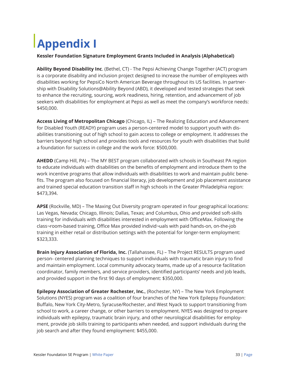# **Appendix I**

### **Kessler Foundation Signature Employment Grants Included in Analysis (Alphabetical)**

**Ability Beyond Disability Inc**. (Bethel, CT) - The Pepsi Achieving Change Together (ACT) program is a corporate disability and inclusion project designed to increase the number of employees with disabilities working for PepsiCo North American Beverage throughout its US facilities. In partnership with Disability Solutions@Ability Beyond (ABD), it developed and tested strategies that seek to enhance the recruiting, sourcing, work readiness, hiring, retention, and advancement of job seekers with disabilities for employment at Pepsi as well as meet the company's workforce needs: \$450,000.

**Access Living of Metropolitan Chicago** (Chicago, IL) – The Realizing Education and Advancement for Disabled Youth (READY) program uses a person-centered model to support youth with disabilities transitioning out of high school to gain access to college or employment. It addresses the barriers beyond high school and provides tools and resources for youth with disabilities that build a foundation for success in college and the work force: \$500,000.

**AHEDD** (Camp Hill, PA) – The MY BEST program collaborated with schools in Southeast PA region to educate individuals with disabilities on the benefits of employment and introduce them to the work incentive programs that allow individuals with disabilities to work and maintain public benefits. The program also focused on financial literacy, job development and job placement assistance and trained special education transition staff in high schools in the Greater Philadelphia region: \$473,394.

**APSE** (Rockville, MD) – The Maxing Out Diversity program operated in four geographical locations: Las Vegas, Nevada; Chicago, Illinois; Dallas, Texas; and Columbus, Ohio and provided soft-skills training for individuals with disabilities interested in employment with OfficeMax. Following the class¬room-based training, Office Max provided individ¬uals with paid hands-on, on-the-job training in either retail or distribution settings with the potential for longer-term employment: \$323,333.

**Brain Injury Association of Florida, Inc.** (Tallahassee, FL) – The Project RESULTS program used person- centered planning techniques to support individuals with traumatic brain injury to find and maintain employment. Local community advocacy teams, made up of a resource facilitation coordinator, family members, and service providers, identified participants' needs and job leads, and provided support in the first 90 days of employment: \$350,000.

**Epilepsy Association of Greater Rochester, Inc.**, (Rochester, NY) – The New York Employment Solutions (NYES) program was a coalition of four branches of the New York Epilepsy Foundation: Buffalo, New York City-Metro, Syracuse/Rochester, and West Nyack to support transitioning from school to work, a career change, or other barriers to employment. NYES was designed to prepare individuals with epilepsy, traumatic brain injury, and other neurological disabilities for employment, provide job skills training to participants when needed, and support individuals during the job search and after they found employment: \$455,000.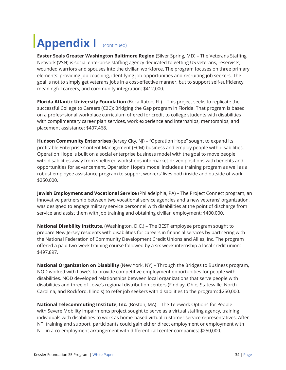## **Appendix I** (continued)

**Easter Seals Greater Washington Baltimore Region** (Silver Spring, MD) – The Veterans Staffing Network (VSN) is social enterprise staffing agency dedicated to getting US veterans, reservists, wounded warriors and spouses into the civilian workforce. The program focuses on three primary elements: providing job coaching, identifying job opportunities and recruiting job seekers. The goal is not to simply get veterans jobs in a cost-effective manner, but to support self-sufficiency, meaningful careers, and community integration: \$412,000.

**Florida Atlantic University Foundation** (Boca Raton, FL) – This project seeks to replicate the successful College to Careers (C2C): Bridging the Gap program in Florida. That program is based on a profes¬sional workplace curriculum offered for credit to college students with disabilities with complimentary career plan services, work experience and internships, mentorships, and placement assistance: \$407,468.

**Hudson Community Enterprises** (Jersey City, NJ) – "Operation Hope" sought to expand its profitable Enterprise Content Management (ECM) business and employ people with disabilities. Operation Hope is built on a social enterprise business model with the goal to move people with disabilities away from sheltered workshops into market-driven positions with benefits and opportunities for advancement. Operation Hope's model includes a training program as well as a robust employee assistance program to support workers' lives both inside and outside of work: \$250,000.

**Jewish Employment and Vocational Service** (Philadelphia, PA) – The Project Connect program, an innovative partnership between two vocational service agencies and a new veterans' organization, was designed to engage military service personnel with disabilities at the point of discharge from service and assist them with job training and obtaining civilian employment: \$400,000.

**National Disability Institute**, (Washington, D.C.) – The BEST employee program sought to prepare New Jersey residents with disabilities for careers in financial services by partnering with the National Federation of Community Development Credit Unions and Allies, Inc. The program offered a paid two-week training course followed by a six-week internship a local credit union: \$497,897.

**National Organization on Disability** (New York, NY) – Through the Bridges to Business program, NOD worked with Lowe's to provide competitive employment opportunities for people with disabilities. NOD developed relationships between local organizations that serve people with disabilities and three of Lowe's regional distribution centers (Findlay, Ohio, Statesville, North Carolina, and Rockford, Illinois) to refer job seekers with disabilities to the program: \$250,000.

**National Telecommuting Institute, Inc.** (Boston, MA) – The Telework Options for People with Severe Mobility Impairments project sought to serve as a virtual staffing agency, training individuals with disabilities to work as home-based virtual customer service representatives. After NTI training and support, participants could gain either direct employment or employment with NTI in a co-employment arrangement with different call center companies: \$250,000.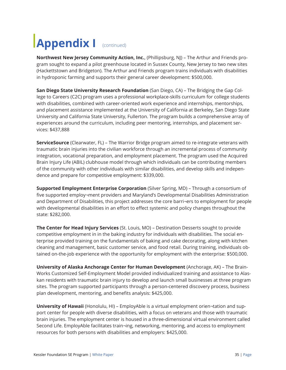## **Appendix I** (continued)

**Northwest New Jersey Community Action, Inc.**, (Phillipsburg, NJ) – The Arthur and Friends program sought to expand a pilot greenhouse located in Sussex County, New Jersey to two new sites (Hackettstown and Bridgeton). The Arthur and Friends program trains individuals with disabilities in hydroponic farming and supports their general career development: \$500,000.

**San Diego State University Research Foundation** (San Diego, CA) – The Bridging the Gap College to Careers (C2C) program uses a professional workplace-skills curriculum for college students with disabilities, combined with career-oriented work experience and internships, mentorships, and placement assistance implemented at the University of California at Berkeley, San Diego State University and California State University, Fullerton. The program builds a comprehensive array of experiences around the curriculum, including peer mentoring, internships, and placement services: \$437,888

**ServiceSource** (Clearwater, FL) – The Warrior Bridge program aimed to re-integrate veterans with traumatic brain injuries into the civilian workforce through an incremental process of community integration, vocational preparation, and employment placement. The program used the Acquired Brain Injury Life (ABIL) clubhouse model through which individuals can be contributing members of the community with other individuals with similar disabilities, and develop skills and independence and prepare for competitive employment: \$339,000.

**Supported Employment Enterprise Corporation** (Silver Spring, MD) – Through a consortium of five supported employ¬ment providers and Maryland's Developmental Disabilities Administration and Department of Disabilities, this project addresses the core barri¬ers to employment for people with developmental disabilities in an effort to effect systemic and policy changes throughout the state: \$282,000.

**The Center for Head Injury Services** (St. Louis, MO) – Destination Desserts sought to provide competitive employment in in the baking industry for individuals with disabilities. The social enterprise provided training on the fundamentals of baking and cake decorating, along with kitchen cleaning and management, basic customer service, and food retail. During training, individuals obtained on-the-job experience with the opportunity for employment with the enterprise: \$500,000.

**University of Alaska Anchorage Center for Human Development** (Anchorage, AK) – The Brain-Works Customized Self-Employment Model provided individualized training and assistance to Alaskan residents with traumatic brain injury to develop and launch small businesses at three program sites. The program supported participants through a person-centered discovery process, business plan development, mentoring, and benefits analysis: \$425,000.

**University of Hawaii** (Honolulu, HI) – EmployAble is a virtual employment orien¬tation and support center for people with diverse disabilities, with a focus on veterans and those with traumatic brain injuries. The employment center is housed in a three-dimensional virtual environment called Second Life. EmployAble facilitates train¬ing, networking, mentoring, and access to employment resources for both persons with disabilities and employers: \$425,000.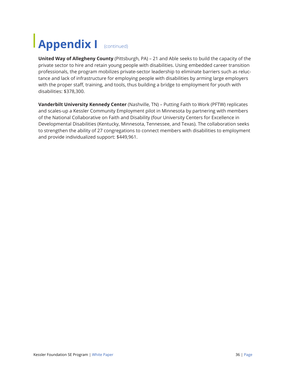## **Appendix I** (continued)

**United Way of Allegheny County** (Pittsburgh, PA) – 21 and Able seeks to build the capacity of the private sector to hire and retain young people with disabilities. Using embedded career transition professionals, the program mobilizes private-sector leadership to eliminate barriers such as reluctance and lack of infrastructure for employing people with disabilities by arming large employers with the proper staff, training, and tools, thus building a bridge to employment for youth with disabilities: \$378,300.

**Vanderbilt University Kennedy Center** (Nashville, TN) – Putting Faith to Work (PFTW) replicates and scales-up a Kessler Community Employment pilot in Minnesota by partnering with members of the National Collaborative on Faith and Disability (four University Centers for Excellence in Developmental Disabilities (Kentucky, Minnesota, Tennessee, and Texas). The collaboration seeks to strengthen the ability of 27 congregations to connect members with disabilities to employment and provide individualized support: \$449,961.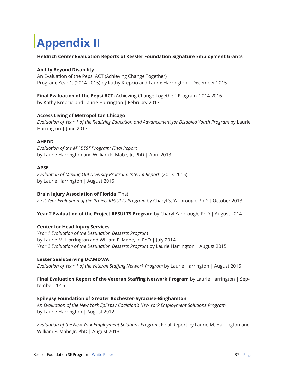# **Appendix II**

### **Heldrich Center Evaluation Reports of Kessler Foundation Signature Employment Grants**

### **Ability Beyond Disability**

An Evaluation of the Pepsi ACT (Achieving Change Together) Program: Year 1: (2014-2015) by Kathy Krepcio and Laurie Harrington | December 2015

**Final Evaluation of the Pepsi ACT** (Achieving Change Together) Program: 2014-2016 by Kathy Krepcio and Laurie Harrington | February 2017

### **Access Living of Metropolitan Chicago**

*Evaluation of Year 1 of the Realizing Education and Advancement for Disabled Youth Program* by Laurie Harrington | June 2017

### **AHEDD**

*Evaluation of the MY BEST Program: Final Report*  by Laurie Harrington and William F. Mabe, Jr, PhD | April 2013

### **APSE**

*Evaluation of Maxing Out Diversity Program: Interim Report*: (2013-2015) by Laurie Harrington | August 2015

#### **Brain Injury Association of Florida** (The)

*First Year Evaluation of the Project RESULTS Program* by Charyl S. Yarbrough, PhD | October 2013

**Year 2 Evaluation of the Project RESULTS Program** by Charyl Yarbrough, PhD | August 2014

#### **Center for Head Injury Services**

*Year 1 Evaluation of the Destination Desserts Program* by Laurie M. Harrington and William F. Mabe, Jr, PhD | July 2014 *Year 2 Evaluation of the Destination Desserts Program* by Laurie Harrington | August 2015

### **Easter Seals Serving DC\MD\VA**

*Evaluation of Year 1 of the Veteran Staffing Network Program* by Laurie Harrington | August 2015

## **Final Evaluation Report of the Veteran Staffing Network Program** by Laurie Harrington | Sep-

tember 2016

#### **Epilepsy Foundation of Greater Rochester-Syracuse-Binghamton**

*An Evaluation of the New York Epilepsy Coalition's New York Employment Solutions Program* by Laurie Harrington | August 2012

*Evaluation of the New York Employment Solutions Program*: Final Report by Laurie M. Harrington and William F. Mabe Jr, PhD | August 2013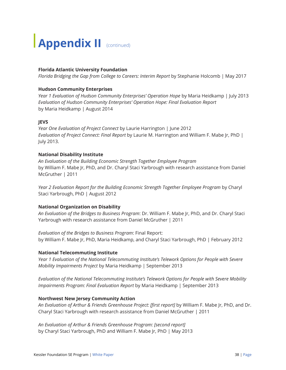# **Appendix II** (continued)

### **Florida Atlantic University Foundation**

*Florida Bridging the Gap from College to Careers: Interim Report* by Stephanie Holcomb | May 2017

### **Hudson Community Enterprises**

*Year 1 Evaluation of Hudson Community Enterprises' Operation Hope* by Maria Heidkamp | July 2013 *Evaluation of Hudson Community Enterprises' Operation Hope: Final Evaluation Report* by Maria Heidkamp | August 2014

### **JEVS**

*Year One Evaluation of Project Connect* by Laurie Harrington | June 2012 *Evaluation of Project Connect: Final Report* by Laurie M. Harrington and William F. Mabe Jr, PhD | July 2013.

### **National Disability Institute**

*An Evaluation of the Building Economic Strength Together Employee Program* by William F. Mabe Jr, PhD, and Dr. Charyl Staci Yarbrough with research assistance from Daniel McGruther | 2011

*Year 2 Evaluation Report for the Building Economic Strength Together Employee Program* by Charyl Staci Yarbrough, PhD | August 2012

### **National Organization on Disability**

*An Evaluation of the Bridges to Business Program*: Dr. William F. Mabe Jr, PhD, and Dr. Charyl Staci Yarbrough with research assistance from Daniel McGruther | 2011

*Evaluation of the Bridges to Business Program*: Final Report: by William F. Mabe Jr, PhD, Maria Heidkamp, and Charyl Staci Yarbrough, PhD | February 2012

### **National Telecommuting Institute**

*Year 1 Evaluation of the National Telecommuting Institute's Telework Options for People with Severe Mobility Impairments Project* by Maria Heidkamp | September 2013

*Evaluation of the National Telecommuting Institute's Telework Options for People with Severe Mobility Impairments Program: Final Evaluation Report* by Maria Heidkamp | September 2013

#### **Northwest New Jersey Community Action**

*An Evaluation of Arthur & Friends Greenhouse Project: [first report]* by William F. Mabe Jr, PhD, and Dr. Charyl Staci Yarbrough with research assistance from Daniel McGruther | 2011

*An Evaluation of Arthur & Friends Greenhouse Program: [second report]* by Charyl Staci Yarbrough, PhD and William F. Mabe Jr, PhD | May 2013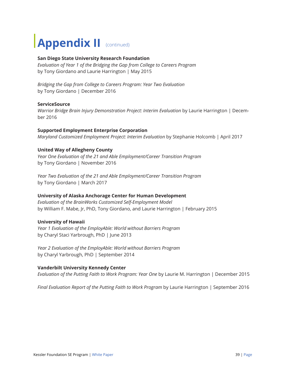## **Appendix II** (continued)

### **San Diego State University Research Foundation**

*Evaluation of Year 1 of the Bridging the Gap from College to Careers Program*  by Tony Giordano and Laurie Harrington | May 2015

*Bridging the Gap from College to Careers Program: Year Two Evaluation*  by Tony Giordano | December 2016

#### **ServiceSource**

*Warrior Bridge Brain Injury Demonstration Project: Interim Evaluation* by Laurie Harrington | December 2016

### **Supported Employment Enterprise Corporation**

*Maryland Customized Employment Project: Interim Evaluation* by Stephanie Holcomb | April 2017

### **United Way of Allegheny County**

*Year One Evaluation of the 21 and Able Employment/Career Transition Program* by Tony Giordano | November 2016

*Year Two Evaluation of the 21 and Able Employment/Career Transition Program*  by Tony Giordano | March 2017

### **University of Alaska Anchorage Center for Human Development**

*Evaluation of the BrainWorks Customized Self-Employment Model*  by William F. Mabe, Jr, PhD, Tony Giordano, and Laurie Harrington | February 2015

### **University of Hawaii**

*Year 1 Evaluation of the EmployAble: World without Barriers Program*  by Charyl Staci Yarbrough, PhD | June 2013

*Year 2 Evaluation of the EmployAble: World without Barriers Program* by Charyl Yarbrough, PhD | September 2014

#### **Vanderbilt University Kennedy Center**

*Evaluation of the Putting Faith to Work Program: Year One* by Laurie M. Harrington | December 2015

*Final Evaluation Report of the Putting Faith to Work Program* by Laurie Harrington | September 2016